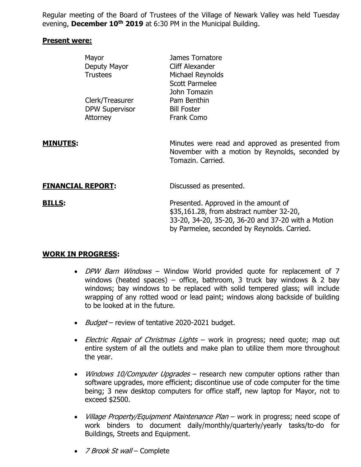Regular meeting of the Board of Trustees of the Village of Newark Valley was held Tuesday evening, **December 10th 2019** at 6:30 PM in the Municipal Building.

#### **Present were:**

|                          | Mayor<br>Deputy Mayor<br><b>Trustees</b> | James Tornatore<br>Cliff Alexander<br>Michael Reynolds<br><b>Scott Parmelee</b><br>John Tomazin                                                                                       |
|--------------------------|------------------------------------------|---------------------------------------------------------------------------------------------------------------------------------------------------------------------------------------|
|                          | Clerk/Treasurer                          | Pam Benthin                                                                                                                                                                           |
|                          | <b>DPW Supervisor</b>                    | <b>Bill Foster</b>                                                                                                                                                                    |
|                          | Attorney                                 | Frank Como                                                                                                                                                                            |
| <u>MINUTES:</u>          |                                          | Minutes were read and approved as presented from<br>November with a motion by Reynolds, seconded by<br>Tomazin, Carried.                                                              |
| <b>FINANCIAL REPORT:</b> |                                          | Discussed as presented.                                                                                                                                                               |
| <u>BILLS:</u>            |                                          | Presented. Approved in the amount of<br>\$35,161.28, from abstract number 32-20,<br>33-20, 34-20, 35-20, 36-20 and 37-20 with a Motion<br>by Parmelee, seconded by Reynolds. Carried. |

### **WORK IN PROGRESS:**

- DPW Barn Windows Window World provided quote for replacement of 7 windows (heated spaces) – office, bathroom, 3 truck bay windows  $\&$  2 bay windows; bay windows to be replaced with solid tempered glass; will include wrapping of any rotted wood or lead paint; windows along backside of building to be looked at in the future.
- Budget review of tentative 2020-2021 budget.
- Electric Repair of Christmas Lights work in progress; need quote; map out entire system of all the outlets and make plan to utilize them more throughout the year.
- Windows 10/Computer Upgrades research new computer options rather than software upgrades, more efficient; discontinue use of code computer for the time being; 3 new desktop computers for office staff, new laptop for Mayor, not to exceed \$2500.
- *Village Property/Equipment Maintenance Plan* work in progress; need scope of work binders to document daily/monthly/quarterly/yearly tasks/to-do for Buildings, Streets and Equipment.
- 7 Brook St wall Complete